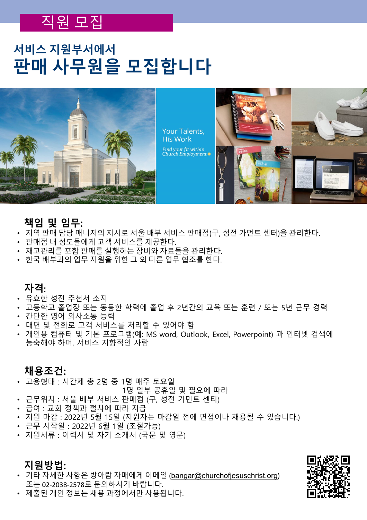### 직원 모집

### **서비스 지원부서에서 판매 사무원을 모집합니다**



Your Talents, **His Work** Find your fit within<br>Church Employment **•** 



### **책임 및 임무:**

- 지역 판매 담당 매니저의 지시로 서울 배부 서비스 판매점(구, 성전 가먼트 센터)을 관리한다.
- 판매점 내 성도들에게 고객 서비스를 제공한다.
- 재고관리를 포함 판매를 실행하는 장비와 자료들을 관리한다.
- 한국 배부과의 업무 지원을 위한 그 외 다른 업무 협조를 한다.

### **자격**:

- 유효한 성전 추천서 소지
- 고등학교 졸업장 또는 동등한 학력에 졸업 후 2년간의 교육 또는 훈련 / 또는 5년 근무 경력
- 간단한 영어 의사소통 능력
- 대면 및 전화로 고객 서비스를 처리할 수 있어야 함
- 개인용 컴퓨터 및 기본 프로그램(예: MS word, Outlook, Excel, Powerpoint) 과 인터넷 검색에 능숙해야 하며, 서비스 지향적인 사람

### **채용조건:**

• 고용형태 : 시간제 총 2명 중 1명 매주 토요일

1명 일부 공휴일 및 필요에 따라

- 근무위치 : 서울 배부 서비스 판매점 (구, 성전 가먼트 센터)
- 급여 : 교회 정책과 절차에 따라 지급
- 지원 마감 : 2022년 5월 15일 (지원자는 마감일 전에 면접이나 채용될 수 있습니다.)
- 근무 시작일 : 2022년 6월 1일 (조절가능)
- 지원서류 : 이력서 및 자기 소개서 (국문 및 영문)

### **지원방법:**

• 기타 자세한 사항은 방아람 자매에게 이메일 ([bangar@churchofjesuschrist.org](mailto:bangar@churchofjesuschrist.org)) 또는 02-2038-2578로 문의하시기 바랍니다.



• 제출된 개인 정보는 채용 과정에서만 사용됩니다.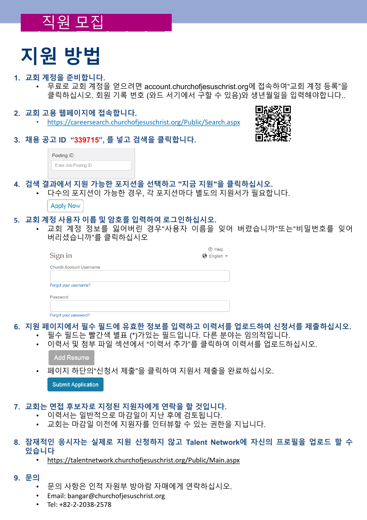## \_\_직원 <u>모집</u>\_\_\_\_\_\_

## **지원 방법**

### **1. 교회 계정을 준비합니다.**

- 무료로 교회 계정을 얻으려면 account.churchofjesuschrist.org에 접속하여"교회 계정 등록"을 클릭하십시오. 회원 기록 번호 (와드 서기에서 구할 수 있음)와 생년월일을 입력해야합니다..
- **2. 교회 고용 웹페이지에 접속합니다.**
	- <https://careersearch.churchofjesuschrist.org/Public/Search.aspx>



**3. 채용 공고 ID "339715", 를 넣고 검색을 클릭합니다.**

| Posting ID           |  |
|----------------------|--|
| Enter Job Posting ID |  |

**4. 검색 결과에서 지원 가능한 포지션을 선택하고 "지금 지원"을 클릭하십시오.**

• 다수의 포지션이 가능한 경우, 각 포지션마다 별도의 지원서가 필요합니다.

**Apply Now** 

#### **5. 교회 계정 사용자 이름 및 암호를 입력하여 로그인하십시오.**

• 교회 계정 정보를 잃어버린 경우"사용자 이름을 잊어 버렸습니까"또는"비밀번호를 잊어 버리셨습니까"를 클릭하십시오

| Sign in                        | ① Help<br>◆ English ▼ |
|--------------------------------|-----------------------|
| <b>Church Account Username</b> |                       |
| Forgot your username?          |                       |
| Password                       |                       |
|                                |                       |
| Forgot your password?          |                       |

### **6. 지원 페이지에서 필수 필드에 유효한 정보를 입력하고 이력서를 업로드하여 신청서를 제출하십시오.**

- 필수 필드는 빨간색 별표 (\*)가있는 필드입니다. 다른 분야는 임의적입니다.
- 이력서 및 첨부 파일 섹션에서 "이력서 추가"를 클릭하여 이력서를 업로드하십시오.

Add Resume

• 페이지 하단의"신청서 제출"을 클릭하여 지원서 제출을 완료하십시오.

**Submit Application** 

### **7. 교회는 면접 후보자로 지정된 지원자에게 연락을 할 것입니다.**

- 이력서는 일반적으로 마감일이 지난 후에 검토됩니다.
- 교회는 마감일 이전에 지원자를 인터뷰할 수 있는 권한을 지닙니다.

### **8. 잠재적인 응시자는 실제로 지원 신청하지 않고 Talent Network에 자신의 프로필을 업로드 할 수 있습니다**

• <https://talentnetwork.churchofjesuschrist.org/Public/Main.aspx>

### **9. 문의**

- 문의 사항은 인적 자원부 방아람 자매에게 연락하십시오.
- Email: bangar@churchofjesuschrist.org
- Tel: +82-2-2038-2578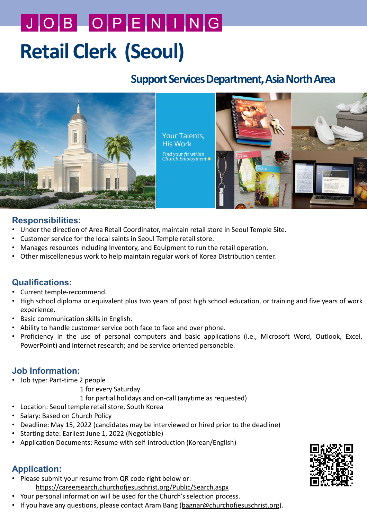# **Retail Clerk (Seoul)** J O B O P E N I N G

### **Support Services Department, Asia North Area**



### **Responsibilities:**

- Under the direction of Area Retail Coordinator, maintain retail store in Seoul Temple Site.
- Customer service for the local saints in Seoul Temple retail store.
- Manages resources including Inventory, and Equipment to run the retail operation.
- Other miscellaneous work to help maintain regular work of Korea Distribution center.

### **Qualifications:**

- Current temple-recommend.
- High school diploma or equivalent plus two years of post high school education, or training and five years of work experience.
- Basic communication skills in English.
- Ability to handle customer service both face to face and over phone.
- Proficiency in the use of personal computers and basic applications (i.e., Microsoft Word, Outlook, Excel, PowerPoint) and internet research; and be service oriented personable.

### **Job Information:**

- Job type: Part-time 2 people
	- 1 for every Saturday
	- 1 for partial holidays and on-call (anytime as requested)
- Location: Seoul temple retail store, South Korea
- Salary: Based on Church Policy
- Deadline: May 15, 2022 (candidates may be interviewed or hired prior to the deadline)
- Starting date: Earliest June 1, 2022 (Negotiable)
- Application Documents: Resume with self-introduction (Korean/English)

### **Application:**

• Please submit your resume from QR code right below or:

<https://careersearch.churchofjesuschrist.org/Public/Search.aspx>

- Your personal information will be used for the Church's selection process.
- If you have any questions, please contact Aram Bang (bagnar[@churchofjesuschrist.org\)](mailto:yuki.kitahara@churchofjesuschrist.org).